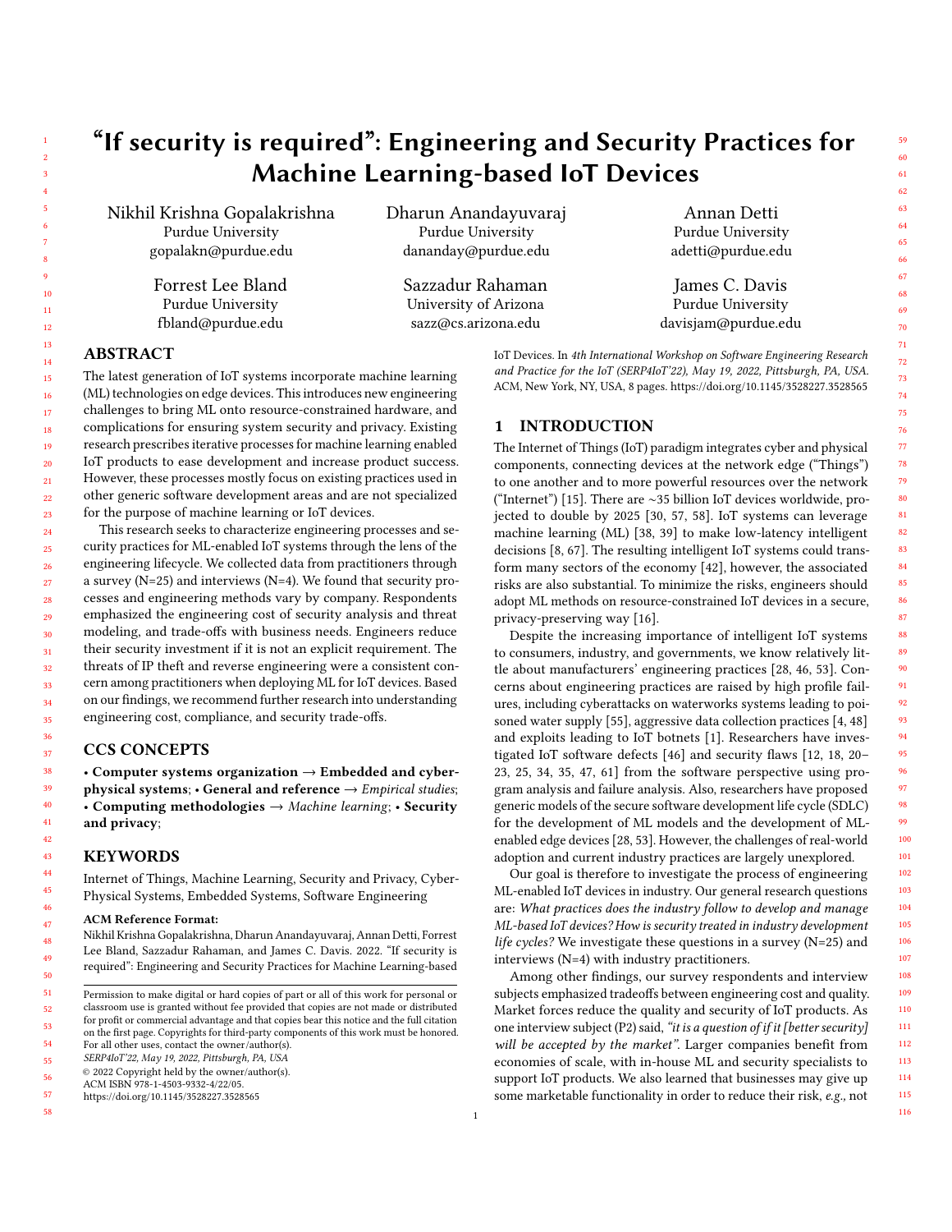# "If security is required": Engineering and Security Practices for Machine Learning-based IoT Devices

Nikhil Krishna Gopalakrishna Purdue University gopalakn@purdue.edu

> Forrest Lee Bland Purdue University fbland@purdue.edu

Dharun Anandayuvaraj Purdue University dananday@purdue.edu

> Sazzadur Rahaman University of Arizona sazz@cs.arizona.edu

Annan Detti Purdue University adetti@purdue.edu

James C. Davis Purdue University davisjam@purdue.edu

## ABSTRACT

The latest generation of IoT systems incorporate machine learning (ML) technologies on edge devices. This introduces new engineering challenges to bring ML onto resource-constrained hardware, and complications for ensuring system security and privacy. Existing research prescribes iterative processes for machine learning enabled IoT products to ease development and increase product success. However, these processes mostly focus on existing practices used in other generic software development areas and are not specialized for the purpose of machine learning or IoT devices.

This research seeks to characterize engineering processes and security practices for ML-enabled IoT systems through the lens of the engineering lifecycle. We collected data from practitioners through a survey (N=25) and interviews (N=4). We found that security processes and engineering methods vary by company. Respondents emphasized the engineering cost of security analysis and threat modeling, and trade-offs with business needs. Engineers reduce their security investment if it is not an explicit requirement. The threats of IP theft and reverse engineering were a consistent concern among practitioners when deploying ML for IoT devices. Based on our findings, we recommend further research into understanding engineering cost, compliance, and security trade-offs.

## CCS CONCEPTS

• Computer systems organization  $\rightarrow$  Embedded and cyberphysical systems;  $\cdot$  General and reference  $\rightarrow$  *Empirical studies*; • Computing methodologies  $\rightarrow$  Machine learning; • Security and privacy;

## KEYWORDS

Internet of Things, Machine Learning, Security and Privacy, Cyber-Physical Systems, Embedded Systems, Software Engineering

#### ACM Reference Format:

Nikhil Krishna Gopalakrishna, Dharun Anandayuvaraj, Annan Detti, Forrest Lee Bland, Sazzadur Rahaman, and James C. Davis. 2022. "If security is required": Engineering and Security Practices for Machine Learning-based

55 SERP4IoT'22, May 19, 2022, Pittsburgh, PA, USA

56 ACM ISBN 978-1-4503-9332-4/22/05.

58

IoT Devices. In 4th International Workshop on Software Engineering Research and Practice for the IoT (SERP4IoT'22), May 19, 2022, Pittsburgh, PA, USA. ACM, New York, NY, USA, [8](#page-7-0) pages.<https://doi.org/10.1145/3528227.3528565>

## 1 INTRODUCTION

The Internet of Things (IoT) paradigm integrates cyber and physical components, connecting devices at the network edge ("Things") to one another and to more powerful resources over the network ("Internet") [\[15\]](#page-6-0). There are ∼35 billion IoT devices worldwide, projected to double by 2025 [\[30,](#page-7-1) [57,](#page-7-2) [58\]](#page-7-3). IoT systems can leverage machine learning (ML) [\[38,](#page-7-4) [39\]](#page-7-5) to make low-latency intelligent decisions [\[8,](#page-6-1) [67\]](#page-7-6). The resulting intelligent IoT systems could transform many sectors of the economy [\[42\]](#page-7-7), however, the associated risks are also substantial. To minimize the risks, engineers should adopt ML methods on resource-constrained IoT devices in a secure, privacy-preserving way [\[16\]](#page-6-2).

Despite the increasing importance of intelligent IoT systems to consumers, industry, and governments, we know relatively little about manufacturers' engineering practices [\[28,](#page-7-8) [46,](#page-7-9) [53\]](#page-7-10). Concerns about engineering practices are raised by high profile failures, including cyberattacks on waterworks systems leading to poisoned water supply [\[55\]](#page-7-11), aggressive data collection practices [\[4,](#page-6-3) [48\]](#page-7-12) and exploits leading to IoT botnets [\[1\]](#page-6-4). Researchers have investigated IoT software defects [\[46\]](#page-7-9) and security flaws [\[12,](#page-6-5) [18,](#page-6-6) [20–](#page-6-7) [23,](#page-6-8) [25,](#page-7-13) [34,](#page-7-14) [35,](#page-7-15) [47,](#page-7-16) [61\]](#page-7-17) from the software perspective using program analysis and failure analysis. Also, researchers have proposed generic models of the secure software development life cycle (SDLC) for the development of ML models and the development of MLenabled edge devices [\[28,](#page-7-8) [53\]](#page-7-10). However, the challenges of real-world adoption and current industry practices are largely unexplored.

Our goal is therefore to investigate the process of engineering ML-enabled IoT devices in industry. Our general research questions are: What practices does the industry follow to develop and manage ML-based IoT devices? How is security treated in industry development life cycles? We investigate these questions in a survey (N=25) and interviews (N=4) with industry practitioners.

Among other findings, our survey respondents and interview subjects emphasized tradeoffs between engineering cost and quality. Market forces reduce the quality and security of IoT products. As one interview subject (P2) said, "it is a question of if it [better security] will be accepted by the market". Larger companies benefit from economies of scale, with in-house ML and security specialists to support IoT products. We also learned that businesses may give up some marketable functionality in order to reduce their risk, e.g., not

Permission to make digital or hard copies of part or all of this work for personal or classroom use is granted without fee provided that copies are not made or distributed for profit or commercial advantage and that copies bear this notice and the full citation on the first page. Copyrights for third-party components of this work must be honored. For all other uses, contact the owner/author(s).

<sup>©</sup> 2022 Copyright held by the owner/author(s).

<sup>57</sup> <https://doi.org/10.1145/3528227.3528565>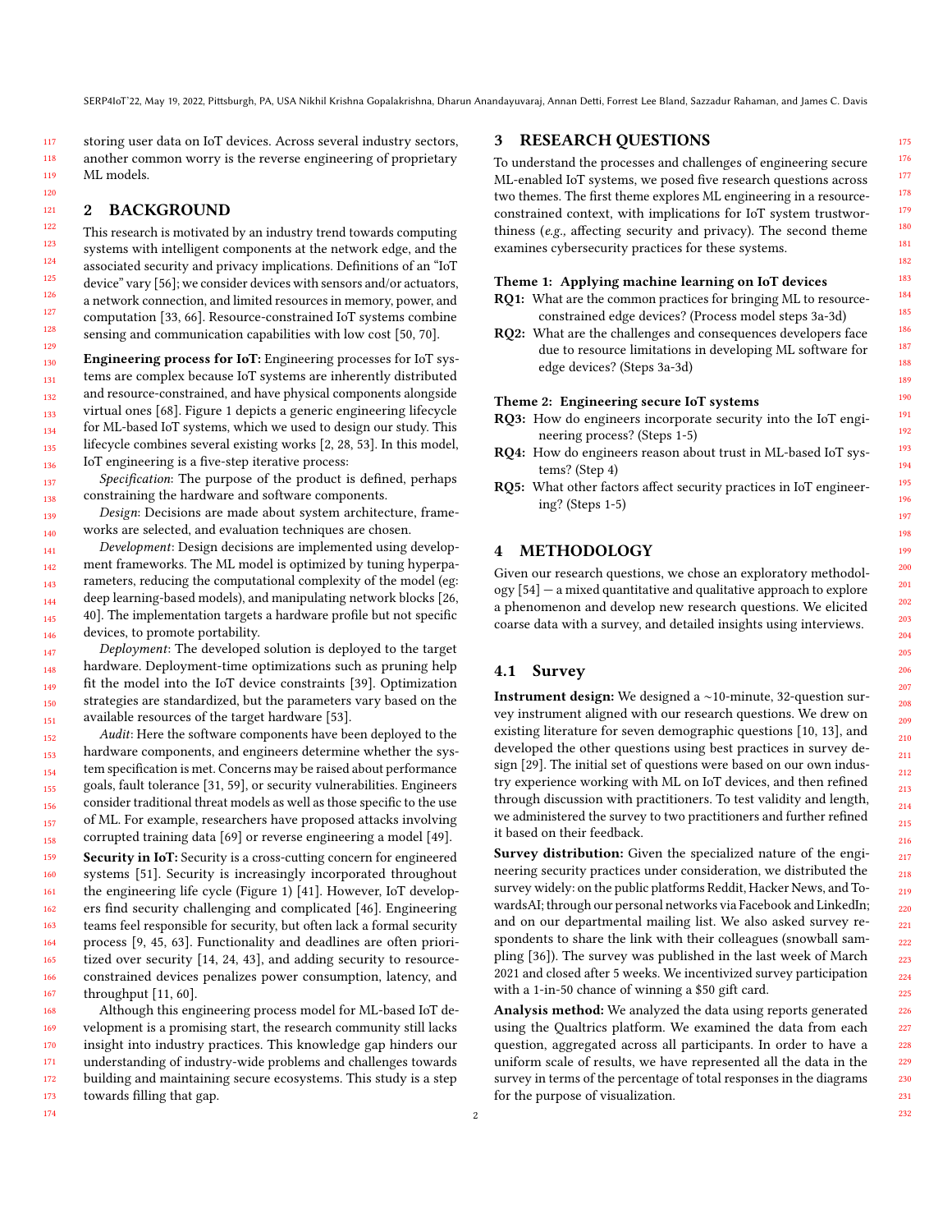storing user data on IoT devices. Across several industry sectors, another common worry is the reverse engineering of proprietary ML models.

## 2 BACKGROUND

174

This research is motivated by an industry trend towards computing systems with intelligent components at the network edge, and the associated security and privacy implications. Definitions of an "IoT device" vary [\[56\]](#page-7-18); we consider devices with sensors and/or actuators, a network connection, and limited resources in memory, power, and computation [\[33,](#page-7-19) [66\]](#page-7-20). Resource-constrained IoT systems combine sensing and communication capabilities with low cost [\[50,](#page-7-21) [70\]](#page-7-22).

Engineering process for IoT: Engineering processes for IoT systems are complex because IoT systems are inherently distributed and resource-constrained, and have physical components alongside virtual ones [\[68\]](#page-7-23). Figure [1](#page-2-0) depicts a generic engineering lifecycle for ML-based IoT systems, which we used to design our study. This lifecycle combines several existing works [\[2,](#page-6-9) [28,](#page-7-8) [53\]](#page-7-10). In this model, IoT engineering is a five-step iterative process:

Specification: The purpose of the product is defined, perhaps constraining the hardware and software components.

Design: Decisions are made about system architecture, frameworks are selected, and evaluation techniques are chosen.

Development: Design decisions are implemented using development frameworks. The ML model is optimized by tuning hyperparameters, reducing the computational complexity of the model (eg: deep learning-based models), and manipulating network blocks [\[26,](#page-7-24) [40\]](#page-7-25). The implementation targets a hardware profile but not specific devices, to promote portability.

Deployment: The developed solution is deployed to the target hardware. Deployment-time optimizations such as pruning help fit the model into the IoT device constraints [\[39\]](#page-7-5). Optimization strategies are standardized, but the parameters vary based on the available resources of the target hardware [\[53\]](#page-7-10).

152 153 154 155 156 157 158 Audit: Here the software components have been deployed to the hardware components, and engineers determine whether the system specification is met. Concerns may be raised about performance goals, fault tolerance [\[31,](#page-7-26) [59\]](#page-7-27), or security vulnerabilities. Engineers consider traditional threat models as well as those specific to the use of ML. For example, researchers have proposed attacks involving corrupted training data [\[69\]](#page-7-28) or reverse engineering a model [\[49\]](#page-7-29).

159 160 161 162 163 164 165 166 167 Security in IoT: Security is a cross-cutting concern for engineered systems [\[51\]](#page-7-30). Security is increasingly incorporated throughout the engineering life cycle (Figure [1\)](#page-2-0) [\[41\]](#page-7-31). However, IoT developers find security challenging and complicated [\[46\]](#page-7-9). Engineering teams feel responsible for security, but often lack a formal security process [\[9,](#page-6-10) [45,](#page-7-32) [63\]](#page-7-33). Functionality and deadlines are often prioritized over security [\[14,](#page-6-11) [24,](#page-6-12) [43\]](#page-7-34), and adding security to resourceconstrained devices penalizes power consumption, latency, and throughput [\[11,](#page-6-13) [60\]](#page-7-35).

168 169 170 171 172 173 Although this engineering process model for ML-based IoT development is a promising start, the research community still lacks insight into industry practices. This knowledge gap hinders our understanding of industry-wide problems and challenges towards building and maintaining secure ecosystems. This study is a step towards filling that gap.

## 3 RESEARCH QUESTIONS

To understand the processes and challenges of engineering secure ML-enabled IoT systems, we posed five research questions across two themes. The first theme explores ML engineering in a resourceconstrained context, with implications for IoT system trustworthiness (e.g., affecting security and privacy). The second theme examines cybersecurity practices for these systems.

#### Theme 1: Applying machine learning on IoT devices

- RQ1: What are the common practices for bringing ML to resourceconstrained edge devices? (Process model steps 3a-3d)
- RQ2: What are the challenges and consequences developers face due to resource limitations in developing ML software for edge devices? (Steps 3a-3d)

#### Theme 2: Engineering secure IoT systems

- RQ3: How do engineers incorporate security into the IoT engineering process? (Steps 1-5)
- RQ4: How do engineers reason about trust in ML-based IoT systems? (Step 4)
- RQ5: What other factors affect security practices in IoT engineering? (Steps 1-5)

## 4 METHODOLOGY

Given our research questions, we chose an exploratory methodology [\[54\]](#page-7-36) — a mixed quantitative and qualitative approach to explore a phenomenon and develop new research questions. We elicited coarse data with a survey, and detailed insights using interviews.

#### 4.1 Survey

Instrument design: We designed a ∼10-minute, 32-question survey instrument aligned with our research questions. We drew on existing literature for seven demographic questions [\[10,](#page-6-14) [13\]](#page-6-15), and developed the other questions using best practices in survey design [\[29\]](#page-7-37). The initial set of questions were based on our own industry experience working with ML on IoT devices, and then refined through discussion with practitioners. To test validity and length, we administered the survey to two practitioners and further refined it based on their feedback.

Survey distribution: Given the specialized nature of the engineering security practices under consideration, we distributed the survey widely: on the public platforms Reddit, Hacker News, and TowardsAI; through our personal networks via Facebook and LinkedIn; and on our departmental mailing list. We also asked survey respondents to share the link with their colleagues (snowball sampling [\[36\]](#page-7-38)). The survey was published in the last week of March 2021 and closed after 5 weeks. We incentivized survey participation with a 1-in-50 chance of winning a \$50 gift card.

Analysis method: We analyzed the data using reports generated using the Qualtrics platform. We examined the data from each question, aggregated across all participants. In order to have a uniform scale of results, we have represented all the data in the survey in terms of the percentage of total responses in the diagrams for the purpose of visualization.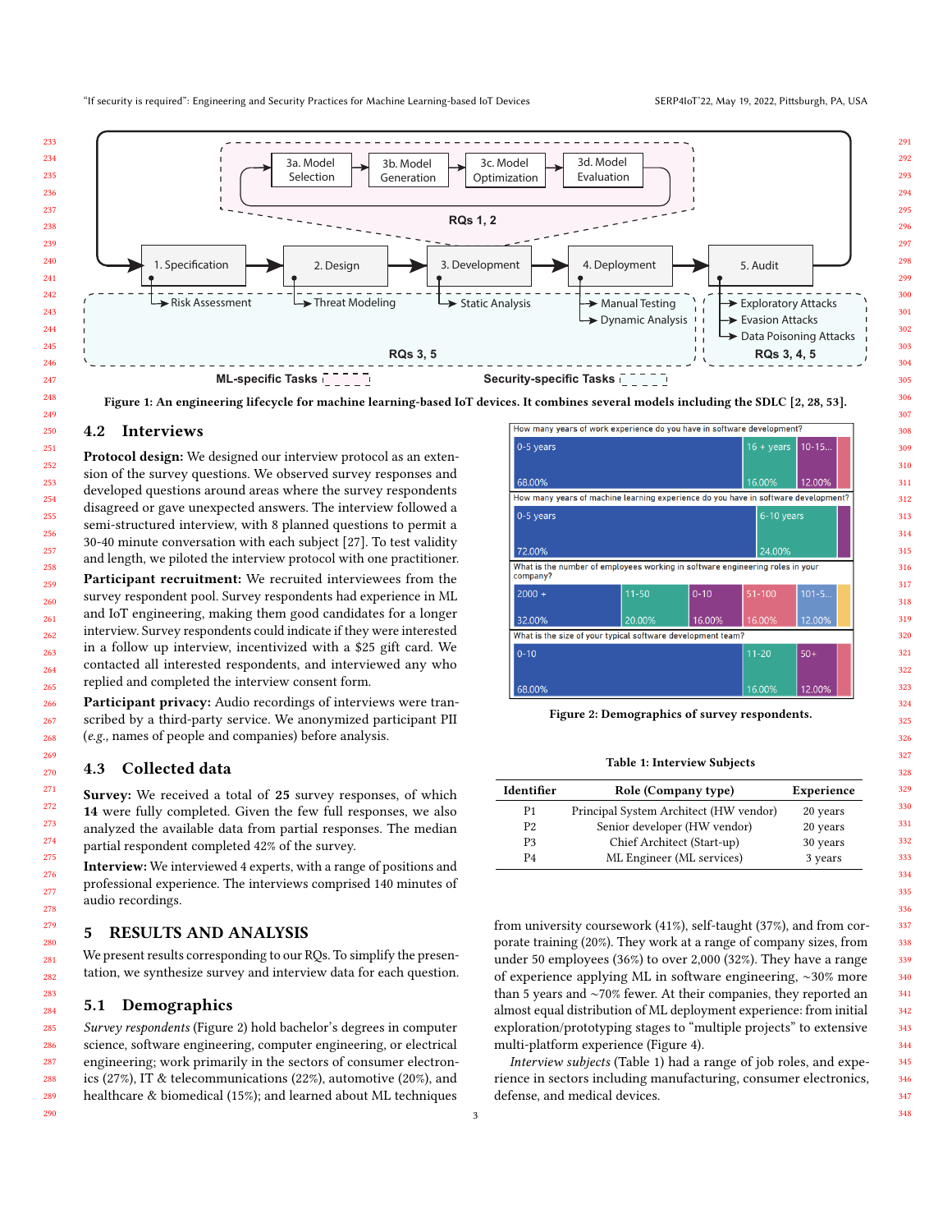<span id="page-2-0"></span>

Figure 1: An engineering lifecycle for machine learning-based IoT devices. It combines several models including the SDLC [\[2,](#page-6-9) [28,](#page-7-8) [53\]](#page-7-10).

#### 4.2 Interviews

Protocol design: We designed our interview protocol as an extension of the survey questions. We observed survey responses and developed questions around areas where the survey respondents disagreed or gave unexpected answers. The interview followed a semi-structured interview, with 8 planned questions to permit a 30-40 minute conversation with each subject [\[27\]](#page-7-39). To test validity and length, we piloted the interview protocol with one practitioner. Participant recruitment: We recruited interviewees from the

survey respondent pool. Survey respondents had experience in ML and IoT engineering, making them good candidates for a longer interview. Survey respondents could indicate if they were interested in a follow up interview, incentivized with a \$25 gift card. We contacted all interested respondents, and interviewed any who replied and completed the interview consent form.

Participant privacy: Audio recordings of interviews were transcribed by a third-party service. We anonymized participant PII (e.g., names of people and companies) before analysis.

## 4.3 Collected data

Survey: We received a total of 25 survey responses, of which were fully completed. Given the few full responses, we also analyzed the available data from partial responses. The median partial respondent completed 42% of the survey.

Interview: We interviewed 4 experts, with a range of positions and professional experience. The interviews comprised 140 minutes of audio recordings.

## 5 RESULTS AND ANALYSIS

We present results corresponding to our RQs. To simplify the presentation, we synthesize survey and interview data for each question.

#### 5.1 Demographics

Survey respondents (Figure [2\)](#page-2-1) hold bachelor's degrees in computer science, software engineering, computer engineering, or electrical engineering; work primarily in the sectors of consumer electronics (27%), IT & telecommunications (22%), automotive (20%), and healthcare & biomedical (15%); and learned about ML techniques

<span id="page-2-1"></span>

Table 1: Interview Subjects

<span id="page-2-2"></span>

| Identifier     | Role (Company type)                    | Experience |
|----------------|----------------------------------------|------------|
| P1             | Principal System Architect (HW vendor) | 20 years   |
| P <sub>2</sub> | Senior developer (HW vendor)           | 20 years   |
| P <sub>3</sub> | Chief Architect (Start-up)             | 30 years   |
| P <sub>4</sub> | ML Engineer (ML services)              | 3 years    |

from university coursework (41%), self-taught (37%), and from corporate training (20%). They work at a range of company sizes, from under 50 employees (36%) to over 2,000 (32%). They have a range of experience applying ML in software engineering, ∼30% more than 5 years and ∼70% fewer. At their companies, they reported an almost equal distribution of ML deployment experience: from initial exploration/prototyping stages to "multiple projects" to extensive multi-platform experience (Figure [4\)](#page-3-0).

Interview subjects (Table [1\)](#page-2-2) had a range of job roles, and experience in sectors including manufacturing, consumer electronics, defense, and medical devices.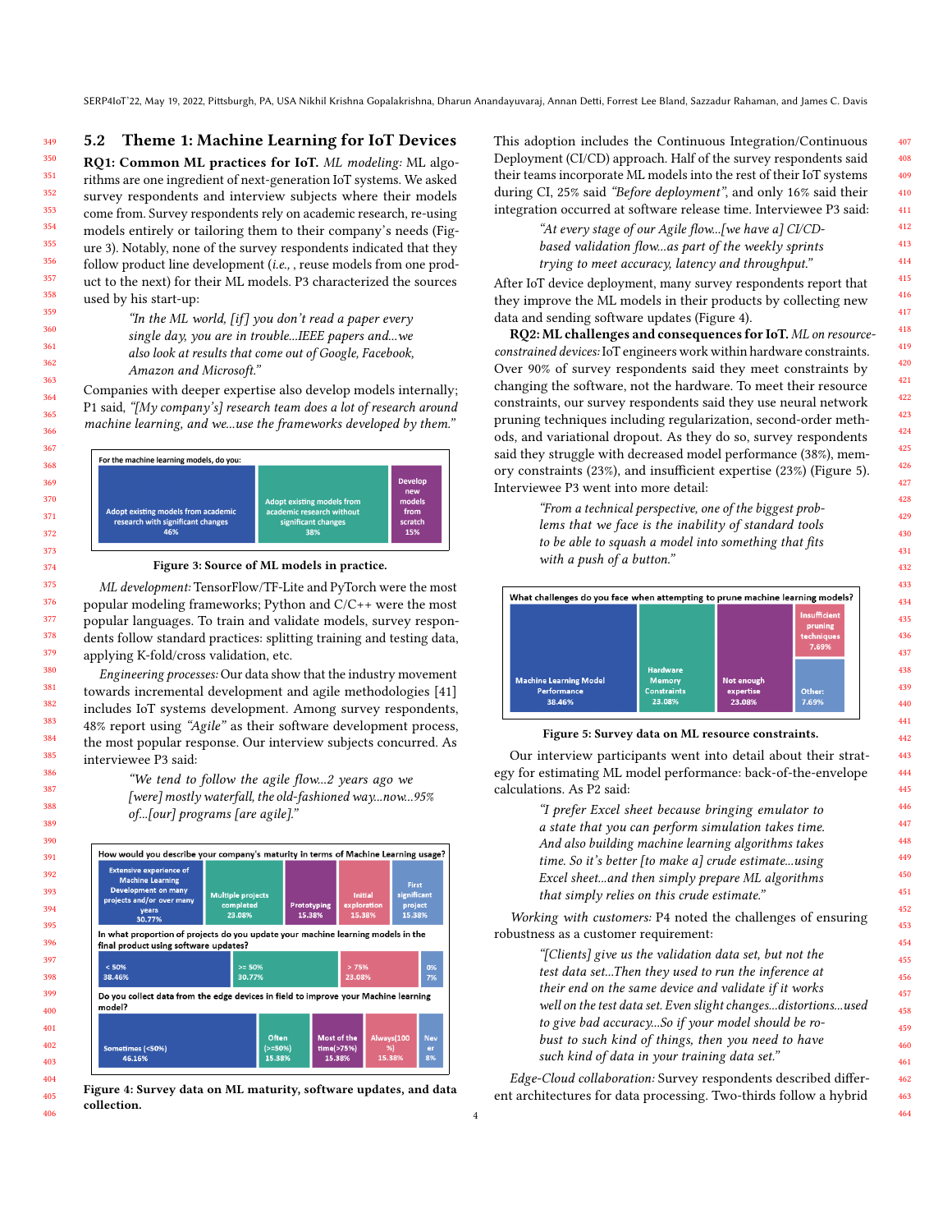5.2 Theme 1: Machine Learning for IoT Devices RQ1: Common ML practices for IoT. ML modeling: ML algorithms are one ingredient of next-generation IoT systems. We asked survey respondents and interview subjects where their models come from. Survey respondents rely on academic research, re-using models entirely or tailoring them to their company's needs (Figure [3\)](#page-3-1). Notably, none of the survey respondents indicated that they follow product line development (i.e., , reuse models from one product to the next) for their ML models. P3 characterized the sources used by his start-up:

"In the ML world, [if] you don't read a paper every single day, you are in trouble...IEEE papers and...we also look at results that come out of Google, Facebook, Amazon and Microsoft."

Companies with deeper expertise also develop models internally; P1 said, "[My company's] research team does a lot of research around machine learning, and we...use the frameworks developed by them."

<span id="page-3-1"></span>

Figure 3: Source of ML models in practice.

ML development: TensorFlow/TF-Lite and PyTorch were the most popular modeling frameworks; Python and C/C++ were the most popular languages. To train and validate models, survey respondents follow standard practices: splitting training and testing data, applying K-fold/cross validation, etc.

Engineering processes: Our data show that the industry movement towards incremental development and agile methodologies [\[41\]](#page-7-31) includes IoT systems development. Among survey respondents, 48% report using "Agile" as their software development process, the most popular response. Our interview subjects concurred. As interviewee P3 said:

> "We tend to follow the agile flow...2 years ago we [were] mostly waterfall, the old-fashioned way...now...95% of...[our] programs [are agile]."

<span id="page-3-0"></span>

Figure 4: Survey data on ML maturity, software updates, and data collection.

This adoption includes the Continuous Integration/Continuous Deployment (CI/CD) approach. Half of the survey respondents said their teams incorporate ML models into the rest of their IoT systems during CI, 25% said "Before deployment", and only 16% said their integration occurred at software release time. Interviewee P3 said:

"At every stage of our Agile flow...[we have a] CI/CDbased validation flow...as part of the weekly sprints trying to meet accuracy, latency and throughput."

After IoT device deployment, many survey respondents report that they improve the ML models in their products by collecting new data and sending software updates (Figure [4\)](#page-3-0).

RQ2: ML challenges and consequences for IoT. ML on resourceconstrained devices: IoT engineers work within hardware constraints. Over 90% of survey respondents said they meet constraints by changing the software, not the hardware. To meet their resource constraints, our survey respondents said they use neural network pruning techniques including regularization, second-order methods, and variational dropout. As they do so, survey respondents said they struggle with decreased model performance (38%), memory constraints (23%), and insufficient expertise (23%) (Figure [5\)](#page-3-2). Interviewee P3 went into more detail:

> "From a technical perspective, one of the biggest problems that we face is the inability of standard tools to be able to squash a model into something that fits with a push of a button."

<span id="page-3-2"></span>

#### Figure 5: Survey data on ML resource constraints.

Our interview participants went into detail about their strategy for estimating ML model performance: back-of-the-envelope calculations. As P2 said:

> "I prefer Excel sheet because bringing emulator to a state that you can perform simulation takes time. And also building machine learning algorithms takes time. So it's better [to make a] crude estimate...using Excel sheet...and then simply prepare ML algorithms that simply relies on this crude estimate."

Working with customers: P4 noted the challenges of ensuring robustness as a customer requirement:

> "[Clients] give us the validation data set, but not the test data set...Then they used to run the inference at their end on the same device and validate if it works well on the test data set. Even slight changes...distortions...used to give bad accuracy...So if your model should be robust to such kind of things, then you need to have such kind of data in your training data set."

Edge-Cloud collaboration: Survey respondents described different architectures for data processing. Two-thirds follow a hybrid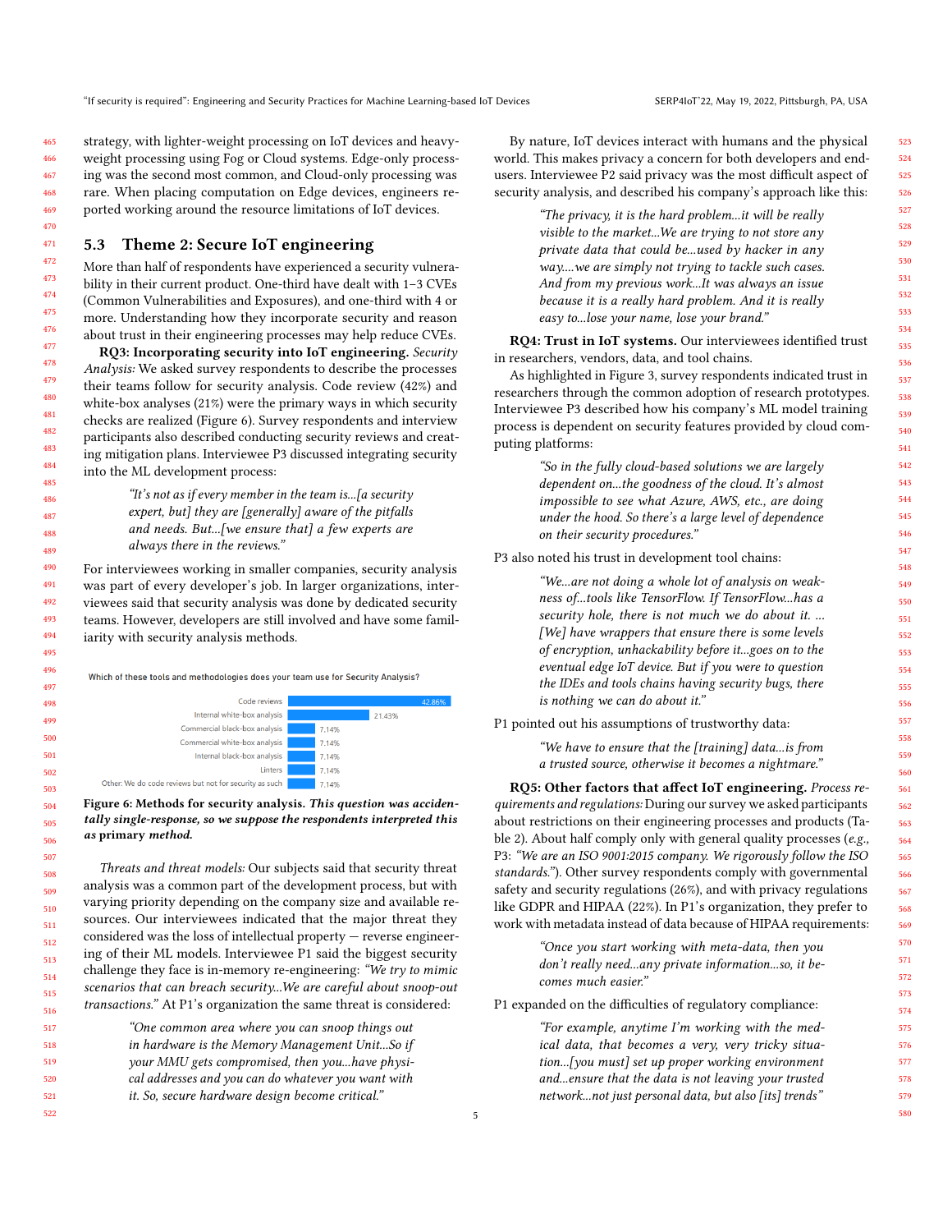strategy, with lighter-weight processing on IoT devices and heavyweight processing using Fog or Cloud systems. Edge-only processing was the second most common, and Cloud-only processing was rare. When placing computation on Edge devices, engineers reported working around the resource limitations of IoT devices.

#### 5.3 Theme 2: Secure IoT engineering

More than half of respondents have experienced a security vulnerability in their current product. One-third have dealt with 1–3 CVEs (Common Vulnerabilities and Exposures), and one-third with 4 or more. Understanding how they incorporate security and reason about trust in their engineering processes may help reduce CVEs.

RQ3: Incorporating security into IoT engineering. Security Analysis: We asked survey respondents to describe the processes their teams follow for security analysis. Code review (42%) and white-box analyses (21%) were the primary ways in which security checks are realized (Figure [6\)](#page-4-0). Survey respondents and interview participants also described conducting security reviews and creating mitigation plans. Interviewee P3 discussed integrating security into the ML development process:

> "It's not as if every member in the team is...[a security expert, but] they are [generally] aware of the pitfalls and needs. But...[we ensure that] a few experts are always there in the reviews."

For interviewees working in smaller companies, security analysis was part of every developer's job. In larger organizations, interviewees said that security analysis was done by dedicated security teams. However, developers are still involved and have some familiarity with security analysis methods.

<span id="page-4-0"></span>Which of these tools and methodologies does your team use for Security Analysis?



Figure 6: Methods for security analysis. This question was accidentally single-response, so we suppose the respondents interpreted this as primary method.

Threats and threat models: Our subjects said that security threat analysis was a common part of the development process, but with varying priority depending on the company size and available resources. Our interviewees indicated that the major threat they considered was the loss of intellectual property — reverse engineering of their ML models. Interviewee P1 said the biggest security challenge they face is in-memory re-engineering: "We try to mimic scenarios that can breach security...We are careful about snoop-out transactions." At P1's organization the same threat is considered:

"One common area where you can snoop things out in hardware is the Memory Management Unit...So if your MMU gets compromised, then you...have physical addresses and you can do whatever you want with it. So, secure hardware design become critical."

By nature, IoT devices interact with humans and the physical world. This makes privacy a concern for both developers and endusers. Interviewee P2 said privacy was the most difficult aspect of security analysis, and described his company's approach like this:

> "The privacy, it is the hard problem...it will be really visible to the market...We are trying to not store any private data that could be...used by hacker in any way....we are simply not trying to tackle such cases. And from my previous work...It was always an issue because it is a really hard problem. And it is really easy to...lose your name, lose your brand."

RQ4: Trust in IoT systems. Our interviewees identified trust in researchers, vendors, data, and tool chains.

As highlighted in Figure [3,](#page-3-1) survey respondents indicated trust in researchers through the common adoption of research prototypes. Interviewee P3 described how his company's ML model training process is dependent on security features provided by cloud computing platforms:

> "So in the fully cloud-based solutions we are largely dependent on...the goodness of the cloud. It's almost impossible to see what Azure, AWS, etc., are doing under the hood. So there's a large level of dependence on their security procedures."

P3 also noted his trust in development tool chains:

"We...are not doing a whole lot of analysis on weakness of...tools like TensorFlow. If TensorFlow...has a security hole, there is not much we do about it. ... [We] have wrappers that ensure there is some levels of encryption, unhackability before it...goes on to the eventual edge IoT device. But if you were to question the IDEs and tools chains having security bugs, there is nothing we can do about it."

P1 pointed out his assumptions of trustworthy data:

"We have to ensure that the [training] data...is from a trusted source, otherwise it becomes a nightmare."

RQ5: Other factors that affect IoT engineering. Process requirements and regulations: During our survey we asked participants about restrictions on their engineering processes and products (Table [2\)](#page-5-0). About half comply only with general quality processes (e.g., P3: "We are an ISO 9001:2015 company. We rigorously follow the ISO standards."). Other survey respondents comply with governmental safety and security regulations (26%), and with privacy regulations like GDPR and HIPAA (22%). In P1's organization, they prefer to work with metadata instead of data because of HIPAA requirements:

> "Once you start working with meta-data, then you don't really need...any private information...so, it becomes much easier."

P1 expanded on the difficulties of regulatory compliance:

"For example, anytime I'm working with the medical data, that becomes a very, very tricky situation...[you must] set up proper working environment and...ensure that the data is not leaving your trusted network...not just personal data, but also [its] trends"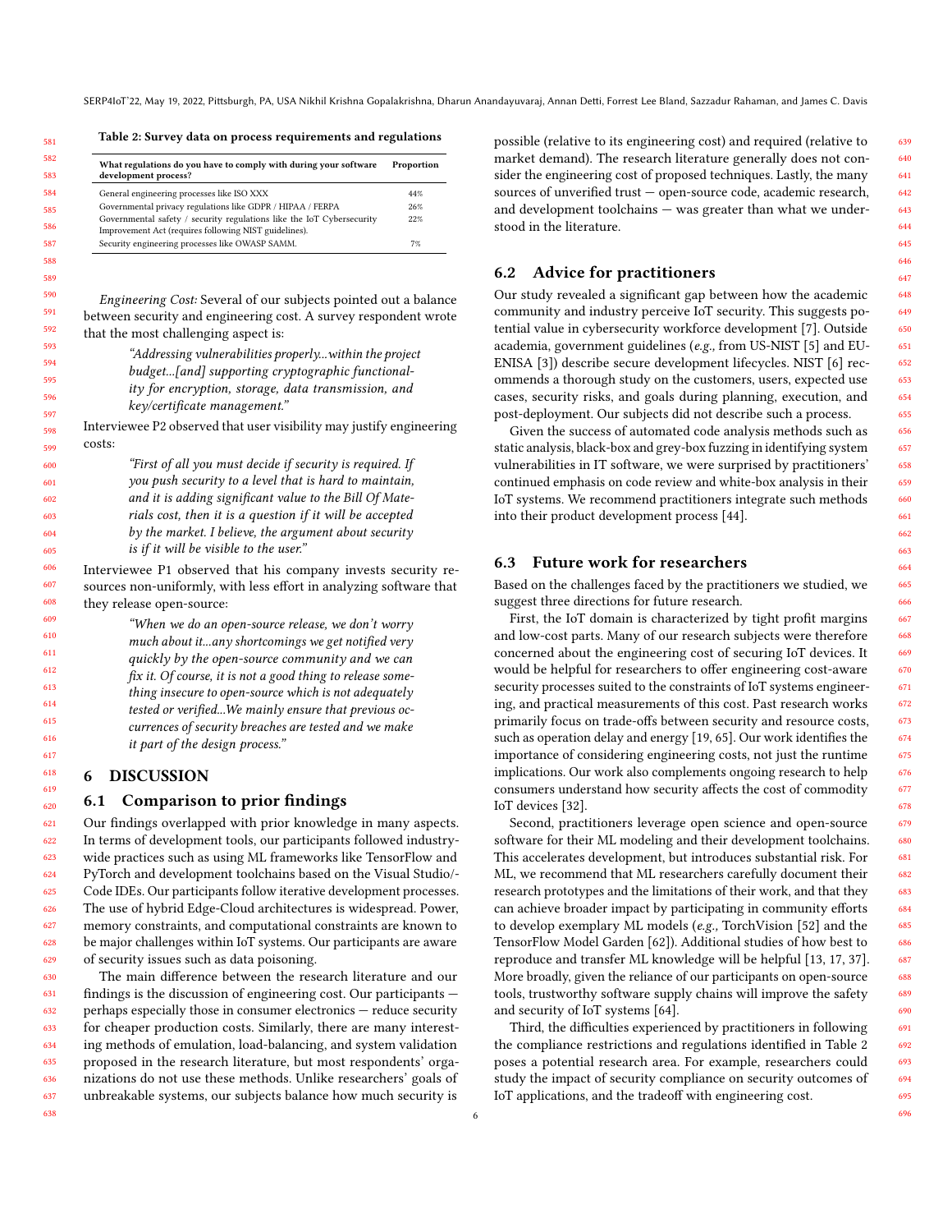<span id="page-5-0"></span>Table 2: Survey data on process requirements and regulations

| What regulations do you have to comply with during your software<br>development process?                                       | Proportion |  |
|--------------------------------------------------------------------------------------------------------------------------------|------------|--|
| General engineering processes like ISO XXX                                                                                     | 44%        |  |
| Governmental privacy regulations like GDPR / HIPAA / FERPA                                                                     | 26%        |  |
| Governmental safety / security regulations like the IoT Cybersecurity<br>Improvement Act (requires following NIST guidelines). | 22%        |  |
| Security engineering processes like OWASP SAMM.                                                                                | 7%         |  |

Engineering Cost: Several of our subjects pointed out a balance between security and engineering cost. A survey respondent wrote that the most challenging aspect is:

> "Addressing vulnerabilities properly...within the project budget...[and] supporting cryptographic functionality for encryption, storage, data transmission, and key/certificate management."

Interviewee P2 observed that user visibility may justify engineering costs:

> "First of all you must decide if security is required. If you push security to a level that is hard to maintain, and it is adding significant value to the Bill Of Materials cost, then it is a question if it will be accepted by the market. I believe, the argument about security is if it will be visible to the user."

Interviewee P1 observed that his company invests security resources non-uniformly, with less effort in analyzing software that they release open-source:

> "When we do an open-source release, we don't worry much about it...any shortcomings we get notified very quickly by the open-source community and we can fix it. Of course, it is not a good thing to release something insecure to open-source which is not adequately tested or verified...We mainly ensure that previous occurrences of security breaches are tested and we make it part of the design process."

#### 6 DISCUSSION

638

#### 6.1 Comparison to prior findings

Our findings overlapped with prior knowledge in many aspects. In terms of development tools, our participants followed industrywide practices such as using ML frameworks like TensorFlow and PyTorch and development toolchains based on the Visual Studio/- Code IDEs. Our participants follow iterative development processes. The use of hybrid Edge-Cloud architectures is widespread. Power, memory constraints, and computational constraints are known to be major challenges within IoT systems. Our participants are aware of security issues such as data poisoning.

630 631 632 633 634 635 636 637 The main difference between the research literature and our findings is the discussion of engineering cost. Our participants perhaps especially those in consumer electronics — reduce security for cheaper production costs. Similarly, there are many interesting methods of emulation, load-balancing, and system validation proposed in the research literature, but most respondents' organizations do not use these methods. Unlike researchers' goals of unbreakable systems, our subjects balance how much security is

possible (relative to its engineering cost) and required (relative to market demand). The research literature generally does not consider the engineering cost of proposed techniques. Lastly, the many sources of unverified trust — open-source code, academic research, and development toolchains — was greater than what we understood in the literature.

#### 6.2 Advice for practitioners

Our study revealed a significant gap between how the academic community and industry perceive IoT security. This suggests potential value in cybersecurity workforce development [\[7\]](#page-6-16). Outside academia, government guidelines (e.g., from US-NIST [\[5\]](#page-6-17) and EU-ENISA [\[3\]](#page-6-18)) describe secure development lifecycles. NIST [\[6\]](#page-6-19) recommends a thorough study on the customers, users, expected use cases, security risks, and goals during planning, execution, and post-deployment. Our subjects did not describe such a process.

Given the success of automated code analysis methods such as static analysis, black-box and grey-box fuzzing in identifying system vulnerabilities in IT software, we were surprised by practitioners' continued emphasis on code review and white-box analysis in their IoT systems. We recommend practitioners integrate such methods into their product development process [\[44\]](#page-7-40).

### 6.3 Future work for researchers

Based on the challenges faced by the practitioners we studied, we suggest three directions for future research.

First, the IoT domain is characterized by tight profit margins and low-cost parts. Many of our research subjects were therefore concerned about the engineering cost of securing IoT devices. It would be helpful for researchers to offer engineering cost-aware security processes suited to the constraints of IoT systems engineering, and practical measurements of this cost. Past research works primarily focus on trade-offs between security and resource costs, such as operation delay and energy [\[19,](#page-6-20) [65\]](#page-7-41). Our work identifies the importance of considering engineering costs, not just the runtime implications. Our work also complements ongoing research to help consumers understand how security affects the cost of commodity IoT devices [\[32\]](#page-7-42).

Second, practitioners leverage open science and open-source software for their ML modeling and their development toolchains. This accelerates development, but introduces substantial risk. For ML, we recommend that ML researchers carefully document their research prototypes and the limitations of their work, and that they can achieve broader impact by participating in community efforts to develop exemplary ML models (e.g., TorchVision [\[52\]](#page-7-43) and the TensorFlow Model Garden [\[62\]](#page-7-44)). Additional studies of how best to reproduce and transfer ML knowledge will be helpful [\[13,](#page-6-15) [17,](#page-6-21) [37\]](#page-7-45). More broadly, given the reliance of our participants on open-source tools, trustworthy software supply chains will improve the safety and security of IoT systems [\[64\]](#page-7-46).

Third, the difficulties experienced by practitioners in following the compliance restrictions and regulations identified in Table [2](#page-5-0) poses a potential research area. For example, researchers could study the impact of security compliance on security outcomes of IoT applications, and the tradeoff with engineering cost.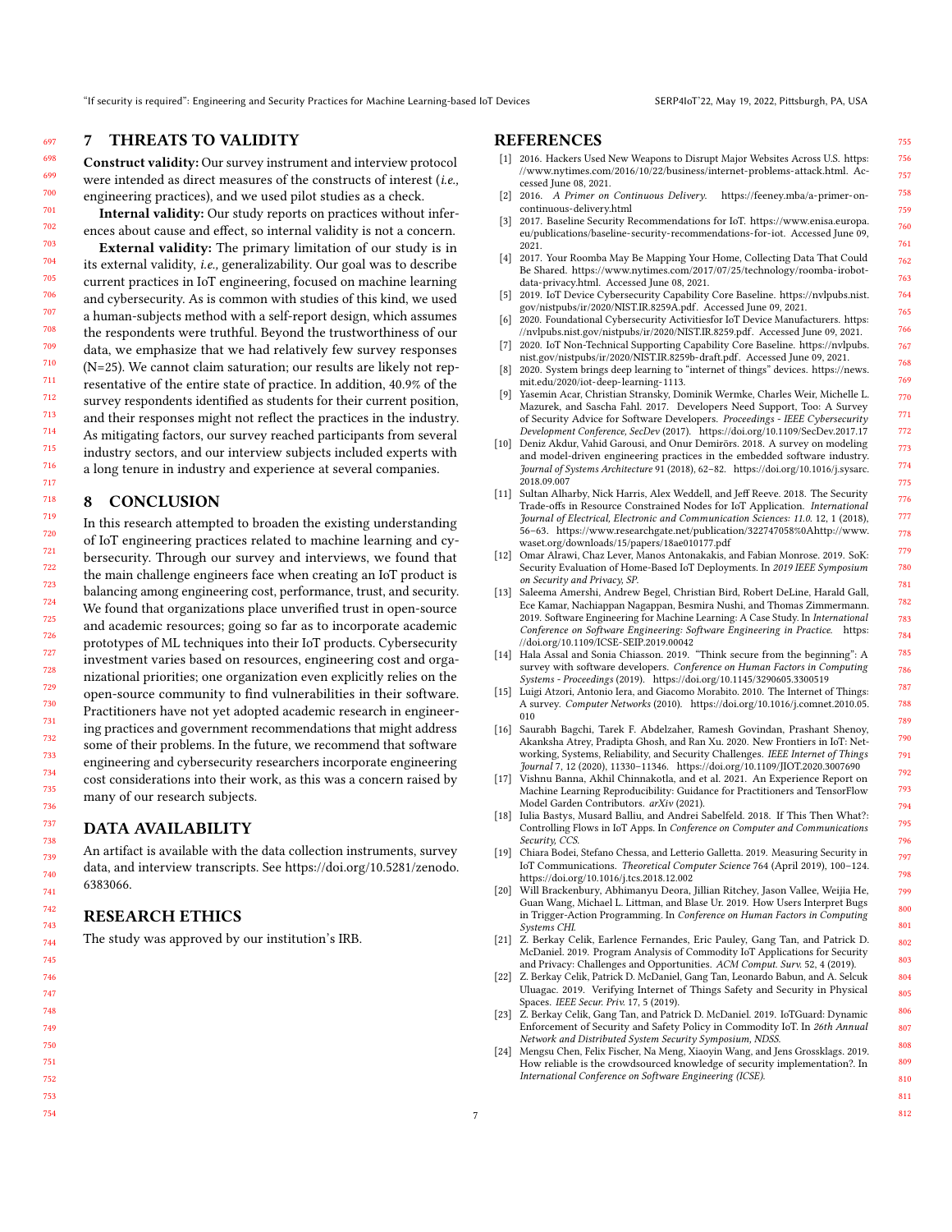"If security is required": Engineering and Security Practices for Machine Learning-based IoT Devices SERP4IoT'22, May 19, 2022, Pittsburgh, PA, USA

## 7 THREATS TO VALIDITY

Construct validity: Our survey instrument and interview protocol were intended as direct measures of the constructs of interest (i.e., engineering practices), and we used pilot studies as a check.

Internal validity: Our study reports on practices without inferences about cause and effect, so internal validity is not a concern.

External validity: The primary limitation of our study is in its external validity, i.e., generalizability. Our goal was to describe current practices in IoT engineering, focused on machine learning and cybersecurity. As is common with studies of this kind, we used a human-subjects method with a self-report design, which assumes the respondents were truthful. Beyond the trustworthiness of our data, we emphasize that we had relatively few survey responses (N=25). We cannot claim saturation; our results are likely not representative of the entire state of practice. In addition, 40.9% of the survey respondents identified as students for their current position, and their responses might not reflect the practices in the industry. As mitigating factors, our survey reached participants from several industry sectors, and our interview subjects included experts with a long tenure in industry and experience at several companies.

## 8 CONCLUSION

In this research attempted to broaden the existing understanding of IoT engineering practices related to machine learning and cybersecurity. Through our survey and interviews, we found that the main challenge engineers face when creating an IoT product is balancing among engineering cost, performance, trust, and security. We found that organizations place unverified trust in open-source and academic resources; going so far as to incorporate academic prototypes of ML techniques into their IoT products. Cybersecurity investment varies based on resources, engineering cost and organizational priorities; one organization even explicitly relies on the open-source community to find vulnerabilities in their software. Practitioners have not yet adopted academic research in engineering practices and government recommendations that might address some of their problems. In the future, we recommend that software engineering and cybersecurity researchers incorporate engineering cost considerations into their work, as this was a concern raised by many of our research subjects.

## DATA AVAILABILITY

An artifact is available with the data collection instruments, survey data, and interview transcripts. See [https://doi.org/10.5281/zenodo.](https://doi.org/10.5281/zenodo.6383066) [6383066.](https://doi.org/10.5281/zenodo.6383066)

# RESEARCH ETHICS

The study was approved by our institution's IRB.

#### REFERENCES

- <span id="page-6-4"></span>[1] 2016. Hackers Used New Weapons to Disrupt Major Websites Across U.S. [https:](https://www.nytimes.com/2016/10/22/business/internet-problems-attack.html) [//www.nytimes.com/2016/10/22/business/internet-problems-attack.html.](https://www.nytimes.com/2016/10/22/business/internet-problems-attack.html) Accessed June 08, 2021.
- <span id="page-6-9"></span>[2] 2016. A Primer on Continuous Delivery. [https://feeney.mba/a-primer-on](https://feeney.mba/a-primer-on-continuous-delivery.html)[continuous-delivery.html](https://feeney.mba/a-primer-on-continuous-delivery.html)
- <span id="page-6-18"></span>[3] 2017. Baseline Security Recommendations for IoT. [https://www.enisa.europa.](https://www.enisa.europa.eu/publications/baseline-security-recommendations-for-iot) [eu/publications/baseline-security-recommendations-for-iot.](https://www.enisa.europa.eu/publications/baseline-security-recommendations-for-iot) Accessed June 09, 2021.
- <span id="page-6-3"></span>[4] 2017. Your Roomba May Be Mapping Your Home, Collecting Data That Could Be Shared. [https://www.nytimes.com/2017/07/25/technology/roomba-irobot](https://www.nytimes.com/2017/07/25/technology/roomba-irobot-data-privacy.html)[data-privacy.html.](https://www.nytimes.com/2017/07/25/technology/roomba-irobot-data-privacy.html) Accessed June 08, 2021.
- <span id="page-6-17"></span>[5] 2019. IoT Device Cybersecurity Capability Core Baseline. [https://nvlpubs.nist.](https://nvlpubs.nist.gov/nistpubs/ir/2020/NIST.IR.8259A.pdf) [gov/nistpubs/ir/2020/NIST.IR.8259A.pdf.](https://nvlpubs.nist.gov/nistpubs/ir/2020/NIST.IR.8259A.pdf) Accessed June 09, 2021.
- <span id="page-6-19"></span>2020. Foundational Cybersecurity Activitiesfor IoT Device Manufacturers. [https:](https://nvlpubs.nist.gov/nistpubs/ir/2020/NIST.IR.8259.pdf) [//nvlpubs.nist.gov/nistpubs/ir/2020/NIST.IR.8259.pdf.](https://nvlpubs.nist.gov/nistpubs/ir/2020/NIST.IR.8259.pdf) Accessed June 09, 2021.
- <span id="page-6-16"></span>[7] 2020. IoT Non-Technical Supporting Capability Core Baseline. [https://nvlpubs.](https://nvlpubs.nist.gov/nistpubs/ir/2020/NIST.IR.8259b-draft.pdf) [nist.gov/nistpubs/ir/2020/NIST.IR.8259b-draft.pdf.](https://nvlpubs.nist.gov/nistpubs/ir/2020/NIST.IR.8259b-draft.pdf) Accessed June 09, 2021.
- <span id="page-6-1"></span>[8] 2020. System brings deep learning to "internet of things" devices. [https://news.](https://news.mit.edu/2020/iot-deep-learning-1113) [mit.edu/2020/iot-deep-learning-1113.](https://news.mit.edu/2020/iot-deep-learning-1113)
- <span id="page-6-10"></span>[9] Yasemin Acar, Christian Stransky, Dominik Wermke, Charles Weir, Michelle L. Mazurek, and Sascha Fahl. 2017. Developers Need Support, Too: A Survey of Security Advice for Software Developers. Proceedings - IEEE Cybersecurity Development Conference, SecDev (2017).<https://doi.org/10.1109/SecDev.2017.17>
- <span id="page-6-14"></span>[10] Deniz Akdur, Vahid Garousi, and Onur Demirörs. 2018. A survey on modeling and model-driven engineering practices in the embedded software industry. Journal of Systems Architecture 91 (2018), 62–82. [https://doi.org/10.1016/j.sysarc.](https://doi.org/10.1016/j.sysarc.2018.09.007) [2018.09.007](https://doi.org/10.1016/j.sysarc.2018.09.007)
- <span id="page-6-13"></span>[11] Sultan Alharby, Nick Harris, Alex Weddell, and Jeff Reeve. 2018. The Security Trade-offs in Resource Constrained Nodes for IoT Application. International Journal of Electrical, Electronic and Communication Sciences: 11.0. 12, 1 (2018), 56–63. [https://www.researchgate.net/publication/322747058%0Ahttp://www.](https://www.researchgate.net/publication/322747058%0Ahttp://www.waset.org/downloads/15/papers/18ae010177.pdf) [waset.org/downloads/15/papers/18ae010177.pdf](https://www.researchgate.net/publication/322747058%0Ahttp://www.waset.org/downloads/15/papers/18ae010177.pdf)
- <span id="page-6-5"></span>[12] Omar Alrawi, Chaz Lever, Manos Antonakakis, and Fabian Monrose. 2019. SoK: Security Evaluation of Home-Based IoT Deployments. In 2019 IEEE Symposium on Security and Privacy, SP.
- <span id="page-6-15"></span>[13] Saleema Amershi, Andrew Begel, Christian Bird, Robert DeLine, Harald Gall, Ece Kamar, Nachiappan Nagappan, Besmira Nushi, and Thomas Zimmermann. 2019. Software Engineering for Machine Learning: A Case Study. In International Conference on Software Engineering: Software Engineering in Practice. [https:](https://doi.org/10.1109/ICSE-SEIP.2019.00042) [//doi.org/10.1109/ICSE-SEIP.2019.00042](https://doi.org/10.1109/ICSE-SEIP.2019.00042)
- <span id="page-6-11"></span>[14] Hala Assal and Sonia Chiasson. 2019. "Think secure from the beginning": A survey with software developers. Conference on Human Factors in Computing Systems - Proceedings (2019).<https://doi.org/10.1145/3290605.3300519>
- <span id="page-6-0"></span>[15] Luigi Atzori, Antonio Iera, and Giacomo Morabito. 2010. The Internet of Things: A survey. Computer Networks (2010). [https://doi.org/10.1016/j.comnet.2010.05.](https://doi.org/10.1016/j.comnet.2010.05.010) [010](https://doi.org/10.1016/j.comnet.2010.05.010)
- <span id="page-6-2"></span>[16] Saurabh Bagchi, Tarek F. Abdelzaher, Ramesh Govindan, Prashant Shenoy, Akanksha Atrey, Pradipta Ghosh, and Ran Xu. 2020. New Frontiers in IoT: Networking, Systems, Reliability, and Security Challenges. IEEE Internet of Things
- <span id="page-6-21"></span>Journal 7, 12 (2020), 11330–11346.<https://doi.org/10.1109/JIOT.2020.3007690> [17] Vishnu Banna, Akhil Chinnakotla, and et al. 2021. An Experience Report on Machine Learning Reproducibility: Guidance for Practitioners and TensorFlow Model Garden Contributors. arXiv (2021).
- <span id="page-6-6"></span>[18] Iulia Bastys, Musard Balliu, and Andrei Sabelfeld. 2018. If This Then What?: Controlling Flows in IoT Apps. In Conference on Computer and Communications Security, CCS.
- <span id="page-6-20"></span>[19] Chiara Bodei, Stefano Chessa, and Letterio Galletta. 2019. Measuring Security in IoT Communications. Theoretical Computer Science 764 (April 2019), 100–124. <https://doi.org/10.1016/j.tcs.2018.12.002>
- <span id="page-6-7"></span>[20] Will Brackenbury, Abhimanyu Deora, Jillian Ritchey, Jason Vallee, Weijia He, Guan Wang, Michael L. Littman, and Blase Ur. 2019. How Users Interpret Bugs in Trigger-Action Programming. In Conference on Human Factors in Computing Systems CHI.
- [21] Z. Berkay Celik, Earlence Fernandes, Eric Pauley, Gang Tan, and Patrick D. McDaniel. 2019. Program Analysis of Commodity IoT Applications for Security and Privacy: Challenges and Opportunities. ACM Comput. Surv. 52, 4 (2019).
- [22] Z. Berkay Celik, Patrick D. McDaniel, Gang Tan, Leonardo Babun, and A. Selcuk Uluagac. 2019. Verifying Internet of Things Safety and Security in Physical Spaces. IEEE Secur. Priv. 17, 5 (2019).
- <span id="page-6-8"></span>[23] Z. Berkay Celik, Gang Tan, and Patrick D. McDaniel. 2019. IoTGuard: Dynamic Enforcement of Security and Safety Policy in Commodity IoT. In 26th Annual Network and Distributed System Security Symposium, NDSS.
- <span id="page-6-12"></span>[24] Mengsu Chen, Felix Fischer, Na Meng, Xiaoyin Wang, and Jens Grossklags. 2019. How reliable is the crowdsourced knowledge of security implementation?. In International Conference on Software Engineering (ICSE).